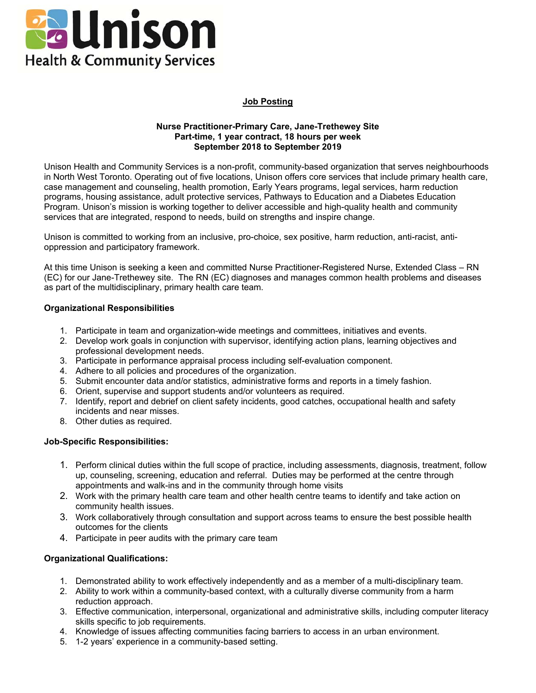

## **Job Posting**

#### **Nurse Practitioner-Primary Care, Jane-Trethewey Site Part-time, 1 year contract, 18 hours per week September 2018 to September 2019**

Unison Health and Community Services is a non-profit, community-based organization that serves neighbourhoods in North West Toronto. Operating out of five locations, Unison offers core services that include primary health care, case management and counseling, health promotion, Early Years programs, legal services, harm reduction programs, housing assistance, adult protective services, Pathways to Education and a Diabetes Education Program. Unison's mission is working together to deliver accessible and high-quality health and community services that are integrated, respond to needs, build on strengths and inspire change.

Unison is committed to working from an inclusive, pro-choice, sex positive, harm reduction, anti-racist, antioppression and participatory framework.

At this time Unison is seeking a keen and committed Nurse Practitioner-Registered Nurse, Extended Class – RN (EC) for our Jane-Trethewey site. The RN (EC) diagnoses and manages common health problems and diseases as part of the multidisciplinary, primary health care team.

### **Organizational Responsibilities**

- 1. Participate in team and organization-wide meetings and committees, initiatives and events.
- 2. Develop work goals in conjunction with supervisor, identifying action plans, learning objectives and professional development needs.
- 3. Participate in performance appraisal process including self-evaluation component.
- 4. Adhere to all policies and procedures of the organization.
- 5. Submit encounter data and/or statistics, administrative forms and reports in a timely fashion.
- 6. Orient, supervise and support students and/or volunteers as required.
- 7. Identify, report and debrief on client safety incidents, good catches, occupational health and safety incidents and near misses.
- 8. Other duties as required.

#### **Job-Specific Responsibilities:**

- 1. Perform clinical duties within the full scope of practice, including assessments, diagnosis, treatment, follow up, counseling, screening, education and referral. Duties may be performed at the centre through appointments and walk-ins and in the community through home visits
- 2. Work with the primary health care team and other health centre teams to identify and take action on community health issues.
- 3. Work collaboratively through consultation and support across teams to ensure the best possible health outcomes for the clients
- 4. Participate in peer audits with the primary care team

### **Organizational Qualifications:**

- 1. Demonstrated ability to work effectively independently and as a member of a multi-disciplinary team.
- 2. Ability to work within a community-based context, with a culturally diverse community from a harm reduction approach.
- 3. Effective communication, interpersonal, organizational and administrative skills, including computer literacy skills specific to job requirements.
- 4. Knowledge of issues affecting communities facing barriers to access in an urban environment.
- 5. 1-2 years' experience in a community-based setting.